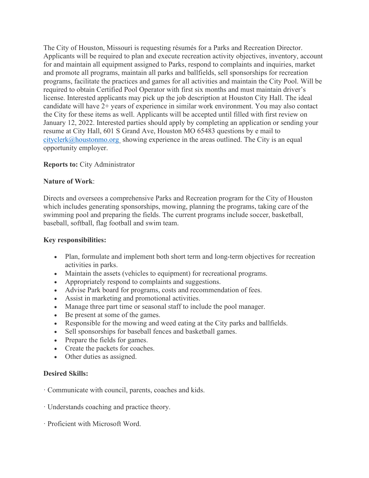The City of Houston, Missouri is requesting résumés for a Parks and Recreation Director. Applicants will be required to plan and execute recreation activity objectives, inventory, account for and maintain all equipment assigned to Parks, respond to complaints and inquiries, market and promote all programs, maintain all parks and ballfields, sell sponsorships for recreation programs, facilitate the practices and games for all activities and maintain the City Pool. Will be required to obtain Certified Pool Operator with first six months and must maintain driver's license. Interested applicants may pick up the job description at Houston City Hall. The ideal candidate will have 2+ years of experience in similar work environment. You may also contact the City for these items as well. Applicants will be accepted until filled with first review on January 12, 2022. Interested parties should apply by completing an application or sending your resume at City Hall, 601 S Grand Ave, Houston MO 65483 questions by e mail to [cityclerk@houstonmo.org](mailto:cityclerk@houstonmo.org) showing experience in the areas outlined. The City is an equal opportunity employer.

## **Reports to:** City Administrator

## **Nature of Work**:

Directs and oversees a comprehensive Parks and Recreation program for the City of Houston which includes generating sponsorships, mowing, planning the programs, taking care of the swimming pool and preparing the fields. The current programs include soccer, basketball, baseball, softball, flag football and swim team.

## **Key responsibilities:**

- Plan, formulate and implement both short term and long-term objectives for recreation activities in parks.
- Maintain the assets (vehicles to equipment) for recreational programs.
- Appropriately respond to complaints and suggestions.
- Advise Park board for programs, costs and recommendation of fees.
- Assist in marketing and promotional activities.
- Manage three part time or seasonal staff to include the pool manager.
- Be present at some of the games.
- Responsible for the mowing and weed eating at the City parks and ballfields.
- Sell sponsorships for baseball fences and basketball games.
- Prepare the fields for games.
- Create the packets for coaches.
- Other duties as assigned.

## **Desired Skills:**

· Communicate with council, parents, coaches and kids.

- · Understands coaching and practice theory.
- · Proficient with Microsoft Word.